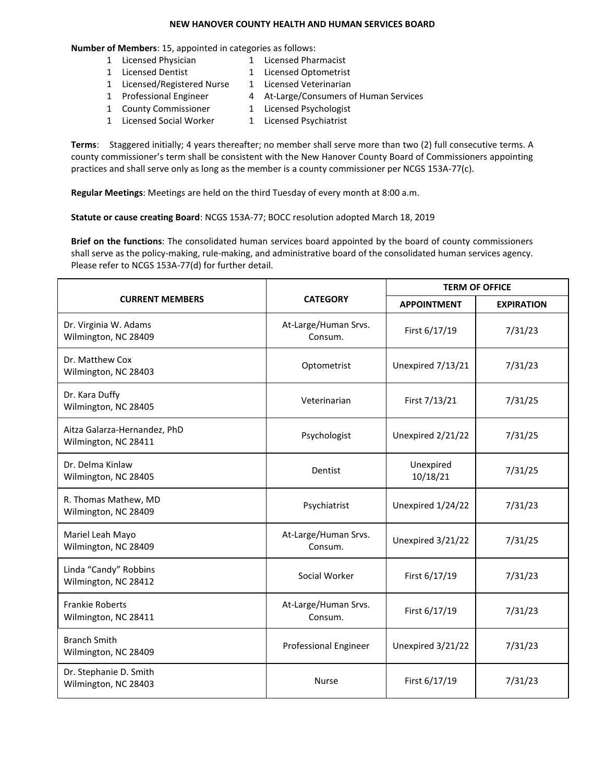## **NEW HANOVER COUNTY HEALTH AND HUMAN SERVICES BOARD**

## **Number of Members**: 15, appointed in categories as follows:

- 1 Licensed Physician 1 Licensed Pharmacist
- 1 Licensed Dentist 1 Licensed Optometrist
	-
- 1 Licensed/Registered Nurse 1 Licensed Veterinarian
- 1 Professional Engineer 4 At-Large/Consumers of Human Services
- 1 County Commissioner 1 Licensed Psychologist
	-
- 1 Licensed Social Worker 1 Licensed Psychiatrist

**Terms**: Staggered initially; 4 years thereafter; no member shall serve more than two (2) full consecutive terms. A county commissioner's term shall be consistent with the New Hanover County Board of Commissioners appointing practices and shall serve only as long as the member is a county commissioner per NCGS 153A-77(c).

**Regular Meetings**: Meetings are held on the third Tuesday of every month at 8:00 a.m.

**Statute or cause creating Board**: NCGS 153A-77; BOCC resolution adopted March 18, 2019

**Brief on the functions**: The consolidated human services board appointed by the board of county commissioners shall serve as the policy-making, rule-making, and administrative board of the consolidated human services agency. Please refer to NCGS 153A-77(d) for further detail.

| <b>CURRENT MEMBERS</b>                               | <b>CATEGORY</b>                 | <b>TERM OF OFFICE</b> |                   |
|------------------------------------------------------|---------------------------------|-----------------------|-------------------|
|                                                      |                                 | <b>APPOINTMENT</b>    | <b>EXPIRATION</b> |
| Dr. Virginia W. Adams<br>Wilmington, NC 28409        | At-Large/Human Srvs.<br>Consum. | First 6/17/19         | 7/31/23           |
| Dr. Matthew Cox<br>Wilmington, NC 28403              | Optometrist                     | Unexpired 7/13/21     | 7/31/23           |
| Dr. Kara Duffy<br>Wilmington, NC 28405               | Veterinarian                    | First 7/13/21         | 7/31/25           |
| Aitza Galarza-Hernandez, PhD<br>Wilmington, NC 28411 | Psychologist                    | Unexpired 2/21/22     | 7/31/25           |
| Dr. Delma Kinlaw<br>Wilmington, NC 28405             | Dentist                         | Unexpired<br>10/18/21 | 7/31/25           |
| R. Thomas Mathew, MD<br>Wilmington, NC 28409         | Psychiatrist                    | Unexpired 1/24/22     | 7/31/23           |
| Mariel Leah Mayo<br>Wilmington, NC 28409             | At-Large/Human Srvs.<br>Consum. | Unexpired 3/21/22     | 7/31/25           |
| Linda "Candy" Robbins<br>Wilmington, NC 28412        | Social Worker                   | First 6/17/19         | 7/31/23           |
| <b>Frankie Roberts</b><br>Wilmington, NC 28411       | At-Large/Human Srvs.<br>Consum. | First 6/17/19         | 7/31/23           |
| <b>Branch Smith</b><br>Wilmington, NC 28409          | <b>Professional Engineer</b>    | Unexpired 3/21/22     | 7/31/23           |
| Dr. Stephanie D. Smith<br>Wilmington, NC 28403       | <b>Nurse</b>                    | First 6/17/19         | 7/31/23           |